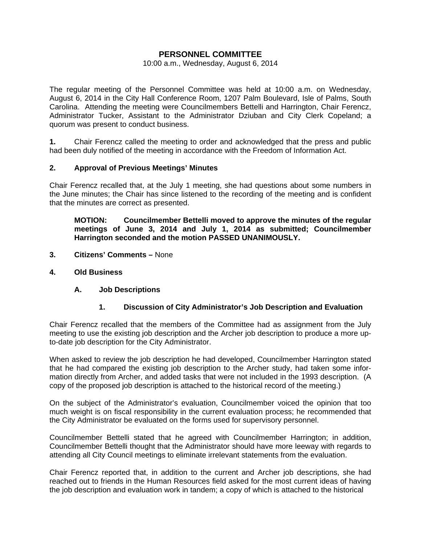# **PERSONNEL COMMITTEE**

#### 10:00 a.m., Wednesday, August 6, 2014

The regular meeting of the Personnel Committee was held at 10:00 a.m. on Wednesday, August 6, 2014 in the City Hall Conference Room, 1207 Palm Boulevard, Isle of Palms, South Carolina. Attending the meeting were Councilmembers Bettelli and Harrington, Chair Ferencz, Administrator Tucker, Assistant to the Administrator Dziuban and City Clerk Copeland; a quorum was present to conduct business.

**1.** Chair Ferencz called the meeting to order and acknowledged that the press and public had been duly notified of the meeting in accordance with the Freedom of Information Act.

#### **2. Approval of Previous Meetings' Minutes**

Chair Ferencz recalled that, at the July 1 meeting, she had questions about some numbers in the June minutes; the Chair has since listened to the recording of the meeting and is confident that the minutes are correct as presented.

 **MOTION: Councilmember Bettelli moved to approve the minutes of the regular meetings of June 3, 2014 and July 1, 2014 as submitted; Councilmember Harrington seconded and the motion PASSED UNANIMOUSLY.** 

- **3. Citizens' Comments** None
- **4. Old Business** 
	- **A. Job Descriptions**

#### **1. Discussion of City Administrator's Job Description and Evaluation**

Chair Ferencz recalled that the members of the Committee had as assignment from the July meeting to use the existing job description and the Archer job description to produce a more upto-date job description for the City Administrator.

When asked to review the job description he had developed, Councilmember Harrington stated that he had compared the existing job description to the Archer study, had taken some information directly from Archer, and added tasks that were not included in the 1993 description. (A copy of the proposed job description is attached to the historical record of the meeting.)

On the subject of the Administrator's evaluation, Councilmember voiced the opinion that too much weight is on fiscal responsibility in the current evaluation process; he recommended that the City Administrator be evaluated on the forms used for supervisory personnel.

Councilmember Bettelli stated that he agreed with Councilmember Harrington; in addition, Councilmember Bettelli thought that the Administrator should have more leeway with regards to attending all City Council meetings to eliminate irrelevant statements from the evaluation.

Chair Ferencz reported that, in addition to the current and Archer job descriptions, she had reached out to friends in the Human Resources field asked for the most current ideas of having the job description and evaluation work in tandem; a copy of which is attached to the historical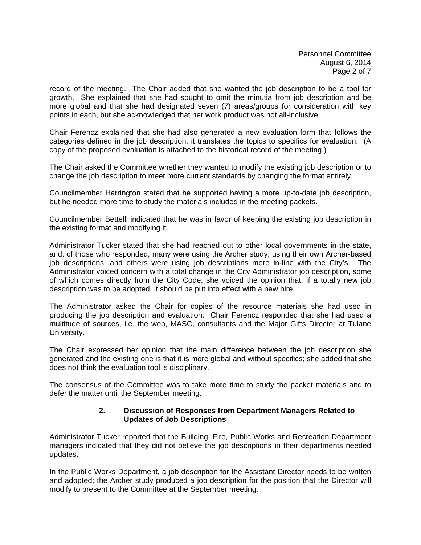record of the meeting. The Chair added that she wanted the job description to be a tool for growth. She explained that she had sought to omit the minutia from job description and be more global and that she had designated seven (7) areas/groups for consideration with key points in each, but she acknowledged that her work product was not all-inclusive.

Chair Ferencz explained that she had also generated a new evaluation form that follows the categories defined in the job description; it translates the topics to specifics for evaluation. (A copy of the proposed evaluation is attached to the historical record of the meeting.)

The Chair asked the Committee whether they wanted to modify the existing job description or to change the job description to meet more current standards by changing the format entirely.

Councilmember Harrington stated that he supported having a more up-to-date job description, but he needed more time to study the materials included in the meeting packets.

Councilmember Bettelli indicated that he was in favor of keeping the existing job description in the existing format and modifying it.

Administrator Tucker stated that she had reached out to other local governments in the state, and, of those who responded, many were using the Archer study, using their own Archer-based job descriptions, and others were using job descriptions more in-line with the City's. The Administrator voiced concern with a total change in the City Administrator job description, some of which comes directly from the City Code; she voiced the opinion that, if a totally new job description was to be adopted, it should be put into effect with a new hire.

The Administrator asked the Chair for copies of the resource materials she had used in producing the job description and evaluation. Chair Ferencz responded that she had used a multitude of sources, i.e. the web, MASC, consultants and the Major Gifts Director at Tulane University.

The Chair expressed her opinion that the main difference between the job description she generated and the existing one is that it is more global and without specifics; she added that she does not think the evaluation tool is disciplinary.

The consensus of the Committee was to take more time to study the packet materials and to defer the matter until the September meeting.

## **2. Discussion of Responses from Department Managers Related to Updates of Job Descriptions**

Administrator Tucker reported that the Building, Fire, Public Works and Recreation Department managers indicated that they did not believe the job descriptions in their departments needed updates.

In the Public Works Department, a job description for the Assistant Director needs to be written and adopted; the Archer study produced a job description for the position that the Director will modify to present to the Committee at the September meeting.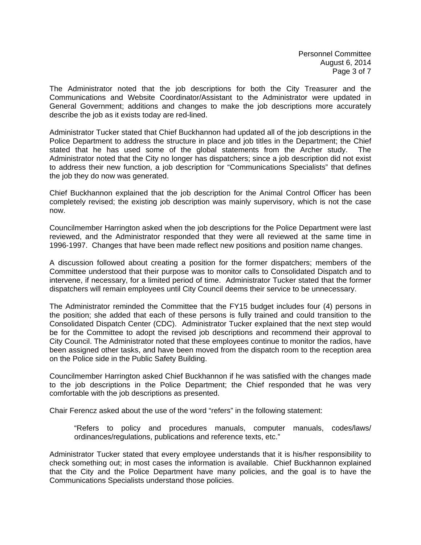The Administrator noted that the job descriptions for both the City Treasurer and the Communications and Website Coordinator/Assistant to the Administrator were updated in General Government; additions and changes to make the job descriptions more accurately describe the job as it exists today are red-lined.

Administrator Tucker stated that Chief Buckhannon had updated all of the job descriptions in the Police Department to address the structure in place and job titles in the Department; the Chief stated that he has used some of the global statements from the Archer study. The Administrator noted that the City no longer has dispatchers; since a job description did not exist to address their new function, a job description for "Communications Specialists" that defines the job they do now was generated.

Chief Buckhannon explained that the job description for the Animal Control Officer has been completely revised; the existing job description was mainly supervisory, which is not the case now.

Councilmember Harrington asked when the job descriptions for the Police Department were last reviewed, and the Administrator responded that they were all reviewed at the same time in 1996-1997. Changes that have been made reflect new positions and position name changes.

A discussion followed about creating a position for the former dispatchers; members of the Committee understood that their purpose was to monitor calls to Consolidated Dispatch and to intervene, if necessary, for a limited period of time. Administrator Tucker stated that the former dispatchers will remain employees until City Council deems their service to be unnecessary.

The Administrator reminded the Committee that the FY15 budget includes four (4) persons in the position; she added that each of these persons is fully trained and could transition to the Consolidated Dispatch Center (CDC). Administrator Tucker explained that the next step would be for the Committee to adopt the revised job descriptions and recommend their approval to City Council. The Administrator noted that these employees continue to monitor the radios, have been assigned other tasks, and have been moved from the dispatch room to the reception area on the Police side in the Public Safety Building.

Councilmember Harrington asked Chief Buckhannon if he was satisfied with the changes made to the job descriptions in the Police Department; the Chief responded that he was very comfortable with the job descriptions as presented.

Chair Ferencz asked about the use of the word "refers" in the following statement:

 "Refers to policy and procedures manuals, computer manuals, codes/laws/ ordinances/regulations, publications and reference texts, etc."

Administrator Tucker stated that every employee understands that it is his/her responsibility to check something out; in most cases the information is available. Chief Buckhannon explained that the City and the Police Department have many policies, and the goal is to have the Communications Specialists understand those policies.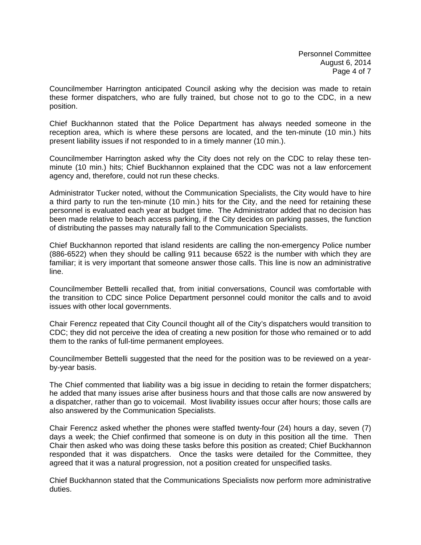Councilmember Harrington anticipated Council asking why the decision was made to retain these former dispatchers, who are fully trained, but chose not to go to the CDC, in a new position.

Chief Buckhannon stated that the Police Department has always needed someone in the reception area, which is where these persons are located, and the ten-minute (10 min.) hits present liability issues if not responded to in a timely manner (10 min.).

Councilmember Harrington asked why the City does not rely on the CDC to relay these tenminute (10 min.) hits; Chief Buckhannon explained that the CDC was not a law enforcement agency and, therefore, could not run these checks.

Administrator Tucker noted, without the Communication Specialists, the City would have to hire a third party to run the ten-minute (10 min.) hits for the City, and the need for retaining these personnel is evaluated each year at budget time. The Administrator added that no decision has been made relative to beach access parking, if the City decides on parking passes, the function of distributing the passes may naturally fall to the Communication Specialists.

Chief Buckhannon reported that island residents are calling the non-emergency Police number (886-6522) when they should be calling 911 because 6522 is the number with which they are familiar; it is very important that someone answer those calls. This line is now an administrative line.

Councilmember Bettelli recalled that, from initial conversations, Council was comfortable with the transition to CDC since Police Department personnel could monitor the calls and to avoid issues with other local governments.

Chair Ferencz repeated that City Council thought all of the City's dispatchers would transition to CDC; they did not perceive the idea of creating a new position for those who remained or to add them to the ranks of full-time permanent employees.

Councilmember Bettelli suggested that the need for the position was to be reviewed on a yearby-year basis.

The Chief commented that liability was a big issue in deciding to retain the former dispatchers; he added that many issues arise after business hours and that those calls are now answered by a dispatcher, rather than go to voicemail. Most livability issues occur after hours; those calls are also answered by the Communication Specialists.

Chair Ferencz asked whether the phones were staffed twenty-four (24) hours a day, seven (7) days a week; the Chief confirmed that someone is on duty in this position all the time. Then Chair then asked who was doing these tasks before this position as created; Chief Buckhannon responded that it was dispatchers. Once the tasks were detailed for the Committee, they agreed that it was a natural progression, not a position created for unspecified tasks.

Chief Buckhannon stated that the Communications Specialists now perform more administrative duties.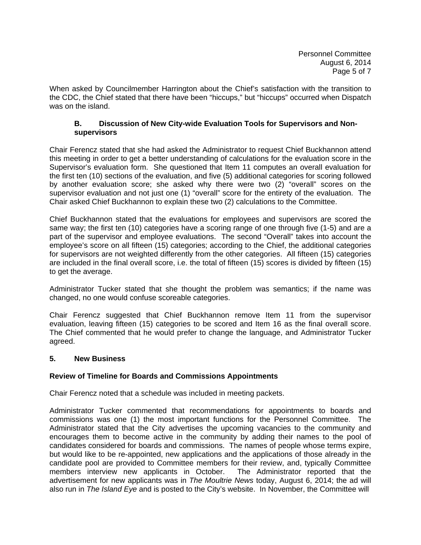When asked by Councilmember Harrington about the Chief's satisfaction with the transition to the CDC, the Chief stated that there have been "hiccups," but "hiccups" occurred when Dispatch was on the island.

### **B. Discussion of New City-wide Evaluation Tools for Supervisors and Non supervisors**

Chair Ferencz stated that she had asked the Administrator to request Chief Buckhannon attend this meeting in order to get a better understanding of calculations for the evaluation score in the Supervisor's evaluation form. She questioned that Item 11 computes an overall evaluation for the first ten (10) sections of the evaluation, and five (5) additional categories for scoring followed by another evaluation score; she asked why there were two (2) "overall" scores on the supervisor evaluation and not just one (1) "overall" score for the entirety of the evaluation. The Chair asked Chief Buckhannon to explain these two (2) calculations to the Committee.

Chief Buckhannon stated that the evaluations for employees and supervisors are scored the same way; the first ten (10) categories have a scoring range of one through five (1-5) and are a part of the supervisor and employee evaluations. The second "Overall" takes into account the employee's score on all fifteen (15) categories; according to the Chief, the additional categories for supervisors are not weighted differently from the other categories. All fifteen (15) categories are included in the final overall score, i.e. the total of fifteen (15) scores is divided by fifteen (15) to get the average.

Administrator Tucker stated that she thought the problem was semantics; if the name was changed, no one would confuse scoreable categories.

Chair Ferencz suggested that Chief Buckhannon remove Item 11 from the supervisor evaluation, leaving fifteen (15) categories to be scored and Item 16 as the final overall score. The Chief commented that he would prefer to change the language, and Administrator Tucker agreed.

## **5. New Business**

## **Review of Timeline for Boards and Commissions Appointments**

Chair Ferencz noted that a schedule was included in meeting packets.

Administrator Tucker commented that recommendations for appointments to boards and commissions was one (1) the most important functions for the Personnel Committee. The Administrator stated that the City advertises the upcoming vacancies to the community and encourages them to become active in the community by adding their names to the pool of candidates considered for boards and commissions. The names of people whose terms expire, but would like to be re-appointed, new applications and the applications of those already in the candidate pool are provided to Committee members for their review, and, typically Committee members interview new applicants in October. The Administrator reported that the advertisement for new applicants was in *The Moultrie News* today, August 6, 2014; the ad will also run in *The Island Eye* and is posted to the City's website. In November, the Committee will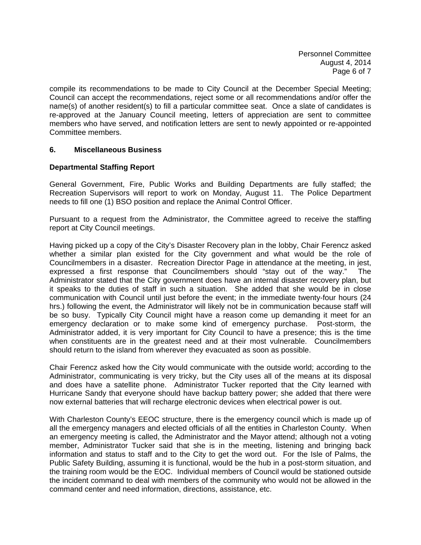compile its recommendations to be made to City Council at the December Special Meeting; Council can accept the recommendations, reject some or all recommendations and/or offer the name(s) of another resident(s) to fill a particular committee seat. Once a slate of candidates is re-approved at the January Council meeting, letters of appreciation are sent to committee members who have served, and notification letters are sent to newly appointed or re-appointed Committee members.

## **6. Miscellaneous Business**

# **Departmental Staffing Report**

General Government, Fire, Public Works and Building Departments are fully staffed; the Recreation Supervisors will report to work on Monday, August 11. The Police Department needs to fill one (1) BSO position and replace the Animal Control Officer.

Pursuant to a request from the Administrator, the Committee agreed to receive the staffing report at City Council meetings.

Having picked up a copy of the City's Disaster Recovery plan in the lobby, Chair Ferencz asked whether a similar plan existed for the City government and what would be the role of Councilmembers in a disaster. Recreation Director Page in attendance at the meeting, in jest, expressed a first response that Councilmembers should "stay out of the way." The Administrator stated that the City government does have an internal disaster recovery plan, but it speaks to the duties of staff in such a situation. She added that she would be in close communication with Council until just before the event; in the immediate twenty-four hours (24 hrs.) following the event, the Administrator will likely not be in communication because staff will be so busy. Typically City Council might have a reason come up demanding it meet for an emergency declaration or to make some kind of emergency purchase. Post-storm, the Administrator added, it is very important for City Council to have a presence; this is the time when constituents are in the greatest need and at their most vulnerable. Councilmembers should return to the island from wherever they evacuated as soon as possible.

Chair Ferencz asked how the City would communicate with the outside world; according to the Administrator, communicating is very tricky, but the City uses all of the means at its disposal and does have a satellite phone. Administrator Tucker reported that the City learned with Hurricane Sandy that everyone should have backup battery power; she added that there were now external batteries that will recharge electronic devices when electrical power is out.

With Charleston County's EEOC structure, there is the emergency council which is made up of all the emergency managers and elected officials of all the entities in Charleston County. When an emergency meeting is called, the Administrator and the Mayor attend; although not a voting member, Administrator Tucker said that she is in the meeting, listening and bringing back information and status to staff and to the City to get the word out. For the Isle of Palms, the Public Safety Building, assuming it is functional, would be the hub in a post-storm situation, and the training room would be the EOC. Individual members of Council would be stationed outside the incident command to deal with members of the community who would not be allowed in the command center and need information, directions, assistance, etc.